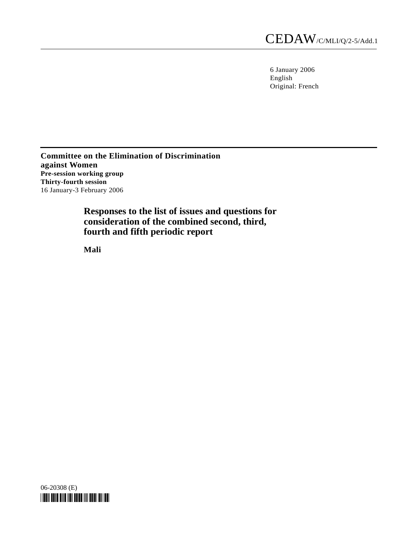6 January 2006 English Original: French

**Committee on the Elimination of Discrimination against Women Pre-session working group Thirty-fourth session**  16 January-3 February 2006

> **Responses to the list of issues and questions for consideration of the combined second, third, fourth and fifth periodic report**

 **Mali** 

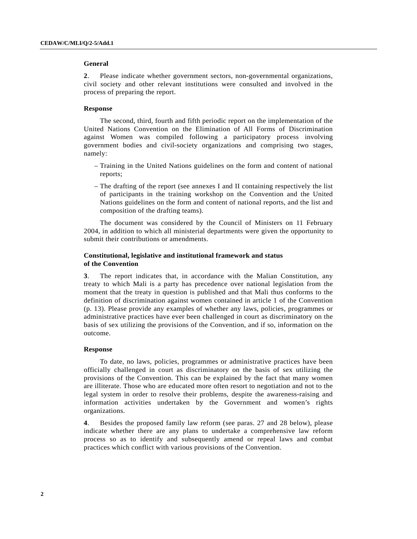# **General**

**2**. Please indicate whether government sectors, non-governmental organizations, civil society and other relevant institutions were consulted and involved in the process of preparing the report.

# **Response**

 The second, third, fourth and fifth periodic report on the implementation of the United Nations Convention on the Elimination of All Forms of Discrimination against Women was compiled following a participatory process involving government bodies and civil-society organizations and comprising two stages, namely:

- Training in the United Nations guidelines on the form and content of national reports;
- The drafting of the report (see annexes I and II containing respectively the list of participants in the training workshop on the Convention and the United Nations guidelines on the form and content of national reports, and the list and composition of the drafting teams).

 The document was considered by the Council of Ministers on 11 February 2004, in addition to which all ministerial departments were given the opportunity to submit their contributions or amendments.

# **Constitutional, legislative and institutional framework and status of the Convention**

**3**. The report indicates that, in accordance with the Malian Constitution, any treaty to which Mali is a party has precedence over national legislation from the moment that the treaty in question is published and that Mali thus conforms to the definition of discrimination against women contained in article 1 of the Convention (p. 13). Please provide any examples of whether any laws, policies, programmes or administrative practices have ever been challenged in court as discriminatory on the basis of sex utilizing the provisions of the Convention, and if so, information on the outcome.

## **Response**

 To date, no laws, policies, programmes or administrative practices have been officially challenged in court as discriminatory on the basis of sex utilizing the provisions of the Convention. This can be explained by the fact that many women are illiterate. Those who are educated more often resort to negotiation and not to the legal system in order to resolve their problems, despite the awareness-raising and information activities undertaken by the Government and women's rights organizations.

**4**. Besides the proposed family law reform (see paras. 27 and 28 below), please indicate whether there are any plans to undertake a comprehensive law reform process so as to identify and subsequently amend or repeal laws and combat practices which conflict with various provisions of the Convention.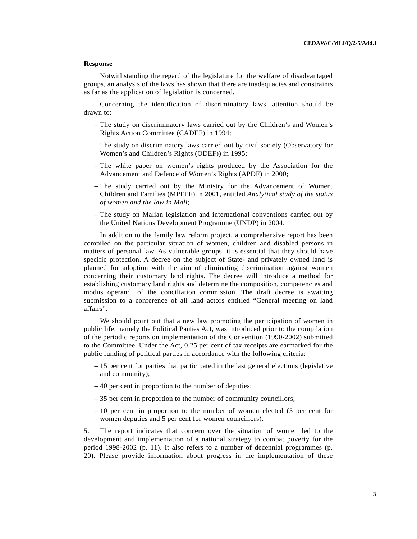Notwithstanding the regard of the legislature for the welfare of disadvantaged groups, an analysis of the laws has shown that there are inadequacies and constraints as far as the application of legislation is concerned.

 Concerning the identification of discriminatory laws, attention should be drawn to:

- The study on discriminatory laws carried out by the Children's and Women's Rights Action Committee (CADEF) in 1994;
- The study on discriminatory laws carried out by civil society (Observatory for Women's and Children's Rights (ODEF)) in 1995;
- The white paper on women's rights produced by the Association for the Advancement and Defence of Women's Rights (APDF) in 2000;
- The study carried out by the Ministry for the Advancement of Women, Children and Families (MPFEF) in 2001, entitled *Analytical study of the status of women and the law in Mali*;
- The study on Malian legislation and international conventions carried out by the United Nations Development Programme (UNDP) in 2004.

 In addition to the family law reform project, a comprehensive report has been compiled on the particular situation of women, children and disabled persons in matters of personal law. As vulnerable groups, it is essential that they should have specific protection. A decree on the subject of State- and privately owned land is planned for adoption with the aim of eliminating discrimination against women concerning their customary land rights. The decree will introduce a method for establishing customary land rights and determine the composition, competencies and modus operandi of the conciliation commission. The draft decree is awaiting submission to a conference of all land actors entitled "General meeting on land affairs".

 We should point out that a new law promoting the participation of women in public life, namely the Political Parties Act, was introduced prior to the compilation of the periodic reports on implementation of the Convention (1990-2002) submitted to the Committee. Under the Act, 0.25 per cent of tax receipts are earmarked for the public funding of political parties in accordance with the following criteria:

- 15 per cent for parties that participated in the last general elections (legislative and community);
- 40 per cent in proportion to the number of deputies;
- 35 per cent in proportion to the number of community councillors;
- 10 per cent in proportion to the number of women elected (5 per cent for women deputies and 5 per cent for women councillors).

**5**. The report indicates that concern over the situation of women led to the development and implementation of a national strategy to combat poverty for the period 1998-2002 (p. 11). It also refers to a number of decennial programmes (p. 20). Please provide information about progress in the implementation of these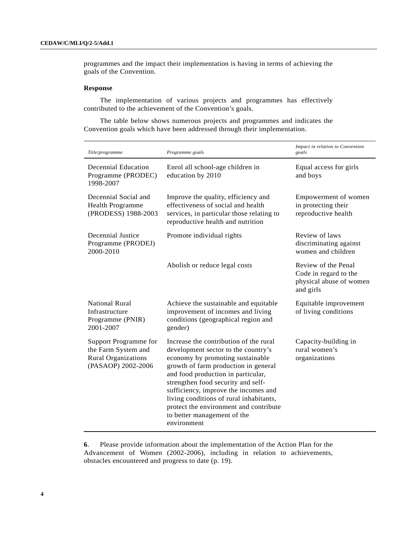programmes and the impact their implementation is having in terms of achieving the goals of the Convention.

# **Response**

 The implementation of various projects and programmes has effectively contributed to the achievement of the Convention's goals.

 The table below shows numerous projects and programmes and indicates the Convention goals which have been addressed through their implementation.

| Title/programme                                                                                  | Programme goals                                                                                                                                                                                                                                                                                                                                                                                                  | Impact in relation to Convention<br>goals                                            |
|--------------------------------------------------------------------------------------------------|------------------------------------------------------------------------------------------------------------------------------------------------------------------------------------------------------------------------------------------------------------------------------------------------------------------------------------------------------------------------------------------------------------------|--------------------------------------------------------------------------------------|
| Decennial Education<br>Programme (PRODEC)<br>1998-2007                                           | Enrol all school-age children in<br>education by 2010                                                                                                                                                                                                                                                                                                                                                            | Equal access for girls<br>and boys                                                   |
| Decennial Social and<br>Health Programme<br>(PRODESS) 1988-2003                                  | Improve the quality, efficiency and<br>effectiveness of social and health<br>services, in particular those relating to<br>reproductive health and nutrition                                                                                                                                                                                                                                                      | Empowerment of women<br>in protecting their<br>reproductive health                   |
| Decennial Justice<br>Programme (PRODEJ)<br>2000-2010                                             | Promote individual rights                                                                                                                                                                                                                                                                                                                                                                                        | Review of laws<br>discriminating against<br>women and children                       |
|                                                                                                  | Abolish or reduce legal costs                                                                                                                                                                                                                                                                                                                                                                                    | Review of the Penal<br>Code in regard to the<br>physical abuse of women<br>and girls |
| <b>National Rural</b><br>Infrastructure<br>Programme (PNIR)<br>2001-2007                         | Achieve the sustainable and equitable<br>improvement of incomes and living<br>conditions (geographical region and<br>gender)                                                                                                                                                                                                                                                                                     | Equitable improvement<br>of living conditions                                        |
| Support Programme for<br>the Farm System and<br><b>Rural Organizations</b><br>(PASAOP) 2002-2006 | Increase the contribution of the rural<br>development sector to the country's<br>economy by promoting sustainable<br>growth of farm production in general<br>and food production in particular,<br>strengthen food security and self-<br>sufficiency, improve the incomes and<br>living conditions of rural inhabitants,<br>protect the environment and contribute<br>to better management of the<br>environment | Capacity-building in<br>rural women's<br>organizations                               |

**6**. Please provide information about the implementation of the Action Plan for the Advancement of Women (2002-2006), including in relation to achievements, obstacles encountered and progress to date (p. 19).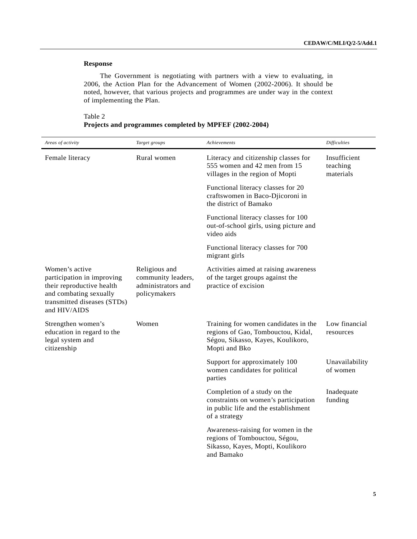The Government is negotiating with partners with a view to evaluating, in 2006, the Action Plan for the Advancement of Women (2002-2006). It should be noted, however, that various projects and programmes are under way in the context of implementing the Plan.

# Table 2

|  | Projects and programmes completed by MPFEF (2002-2004) |  |  |
|--|--------------------------------------------------------|--|--|
|  |                                                        |  |  |

| Areas of activity                                                                                                                                  | Target groups                                                             | Achievements                                                                                                                     | <b>Difficulties</b>                   |
|----------------------------------------------------------------------------------------------------------------------------------------------------|---------------------------------------------------------------------------|----------------------------------------------------------------------------------------------------------------------------------|---------------------------------------|
| Female literacy                                                                                                                                    | Rural women                                                               | Literacy and citizenship classes for<br>555 women and 42 men from 15<br>villages in the region of Mopti                          | Insufficient<br>teaching<br>materials |
|                                                                                                                                                    |                                                                           | Functional literacy classes for 20<br>craftswomen in Baco-Djicoroni in<br>the district of Bamako                                 |                                       |
|                                                                                                                                                    |                                                                           | Functional literacy classes for 100<br>out-of-school girls, using picture and<br>video aids                                      |                                       |
|                                                                                                                                                    |                                                                           | Functional literacy classes for 700<br>migrant girls                                                                             |                                       |
| Women's active<br>participation in improving<br>their reproductive health<br>and combating sexually<br>transmitted diseases (STDs)<br>and HIV/AIDS | Religious and<br>community leaders,<br>administrators and<br>policymakers | Activities aimed at raising awareness<br>of the target groups against the<br>practice of excision                                |                                       |
| Strengthen women's<br>education in regard to the<br>legal system and<br>citizenship                                                                | Women                                                                     | Training for women candidates in the<br>regions of Gao, Tombouctou, Kidal,<br>Ségou, Sikasso, Kayes, Koulikoro,<br>Mopti and Bko | Low financial<br>resources            |
|                                                                                                                                                    |                                                                           | Support for approximately 100<br>women candidates for political<br>parties                                                       | Unavailability<br>of women            |
|                                                                                                                                                    |                                                                           | Completion of a study on the<br>constraints on women's participation<br>in public life and the establishment<br>of a strategy    | Inadequate<br>funding                 |
|                                                                                                                                                    |                                                                           | Awareness-raising for women in the<br>regions of Tombouctou, Ségou,<br>Sikasso, Kayes, Mopti, Koulikoro<br>and Bamako            |                                       |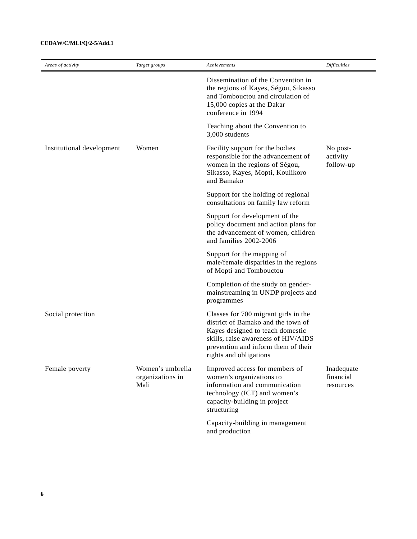# **CEDAW/C/MLI/Q/2-5/Add.1**

| Areas of activity         | Target groups                                | Achievements                                                                                                                                                                                                           | <b>Difficulties</b>                  |
|---------------------------|----------------------------------------------|------------------------------------------------------------------------------------------------------------------------------------------------------------------------------------------------------------------------|--------------------------------------|
|                           |                                              | Dissemination of the Convention in<br>the regions of Kayes, Ségou, Sikasso<br>and Tombouctou and circulation of<br>15,000 copies at the Dakar<br>conference in 1994                                                    |                                      |
|                           |                                              | Teaching about the Convention to<br>3,000 students                                                                                                                                                                     |                                      |
| Institutional development | Women                                        | Facility support for the bodies<br>responsible for the advancement of<br>women in the regions of Ségou,<br>Sikasso, Kayes, Mopti, Koulikoro<br>and Bamako                                                              | No post-<br>activity<br>follow-up    |
|                           |                                              | Support for the holding of regional<br>consultations on family law reform                                                                                                                                              |                                      |
|                           |                                              | Support for development of the<br>policy document and action plans for<br>the advancement of women, children<br>and families 2002-2006                                                                                 |                                      |
|                           |                                              | Support for the mapping of<br>male/female disparities in the regions<br>of Mopti and Tombouctou                                                                                                                        |                                      |
|                           |                                              | Completion of the study on gender-<br>mainstreaming in UNDP projects and<br>programmes                                                                                                                                 |                                      |
| Social protection         |                                              | Classes for 700 migrant girls in the<br>district of Bamako and the town of<br>Kayes designed to teach domestic<br>skills, raise awareness of HIV/AIDS<br>prevention and inform them of their<br>rights and obligations |                                      |
| Female poverty            | Women's umbrella<br>organizations in<br>Mali | Improved access for members of<br>women's organizations to<br>information and communication<br>technology (ICT) and women's<br>capacity-building in project<br>structuring                                             | Inadequate<br>financial<br>resources |
|                           |                                              | Capacity-building in management<br>and production                                                                                                                                                                      |                                      |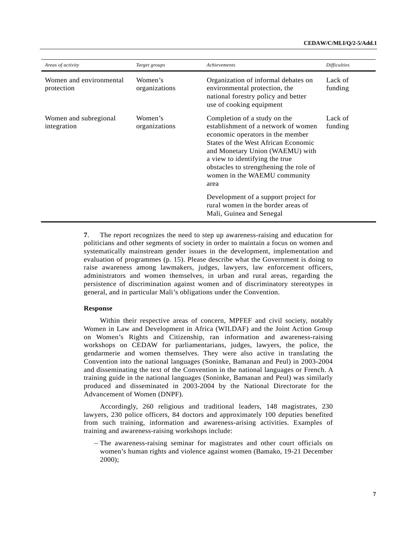| Areas of activity                     | Target groups            | Achievements                                                                                                                                                                                                                                                                                          | <b>Difficulties</b> |
|---------------------------------------|--------------------------|-------------------------------------------------------------------------------------------------------------------------------------------------------------------------------------------------------------------------------------------------------------------------------------------------------|---------------------|
| Women and environmental<br>protection | Women's<br>organizations | Organization of informal debates on<br>environmental protection, the<br>national forestry policy and better<br>use of cooking equipment                                                                                                                                                               | Lack of<br>funding  |
| Women and subregional<br>integration  | Women's<br>organizations | Completion of a study on the<br>establishment of a network of women<br>economic operators in the member<br>States of the West African Economic<br>and Monetary Union (WAEMU) with<br>a view to identifying the true<br>obstacles to strengthening the role of<br>women in the WAEMU community<br>area | Lack of<br>funding  |
|                                       |                          | Development of a support project for<br>rural women in the border areas of<br>Mali, Guinea and Senegal                                                                                                                                                                                                |                     |

**7**. The report recognizes the need to step up awareness-raising and education for politicians and other segments of society in order to maintain a focus on women and systematically mainstream gender issues in the development, implementation and evaluation of programmes (p. 15). Please describe what the Government is doing to raise awareness among lawmakers, judges, lawyers, law enforcement officers, administrators and women themselves, in urban and rural areas, regarding the persistence of discrimination against women and of discriminatory stereotypes in general, and in particular Mali's obligations under the Convention.

# **Response**

 Within their respective areas of concern, MPFEF and civil society, notably Women in Law and Development in Africa (WILDAF) and the Joint Action Group on Women's Rights and Citizenship, ran information and awareness-raising workshops on CEDAW for parliamentarians, judges, lawyers, the police, the gendarmerie and women themselves. They were also active in translating the Convention into the national languages (Soninke, Bamanan and Peul) in 2003-2004 and disseminating the text of the Convention in the national languages or French. A training guide in the national languages (Soninke, Bamanan and Peul) was similarly produced and disseminated in 2003-2004 by the National Directorate for the Advancement of Women (DNPF).

 Accordingly, 260 religious and traditional leaders, 148 magistrates, 230 lawyers, 230 police officers, 84 doctors and approximately 100 deputies benefited from such training, information and awareness-arising activities. Examples of training and awareness-raising workshops include:

 – The awareness-raising seminar for magistrates and other court officials on women's human rights and violence against women (Bamako, 19-21 December 2000);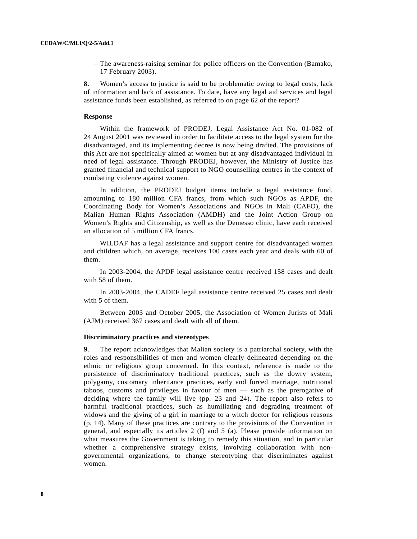– The awareness-raising seminar for police officers on the Convention (Bamako, 17 February 2003).

**8**. Women's access to justice is said to be problematic owing to legal costs, lack of information and lack of assistance. To date, have any legal aid services and legal assistance funds been established, as referred to on page 62 of the report?

## **Response**

 Within the framework of PRODEJ, Legal Assistance Act No. 01-082 of 24 August 2001 was reviewed in order to facilitate access to the legal system for the disadvantaged, and its implementing decree is now being drafted. The provisions of this Act are not specifically aimed at women but at any disadvantaged individual in need of legal assistance. Through PRODEJ, however, the Ministry of Justice has granted financial and technical support to NGO counselling centres in the context of combating violence against women.

 In addition, the PRODEJ budget items include a legal assistance fund, amounting to 180 million CFA francs, from which such NGOs as APDF, the Coordinating Body for Women's Associations and NGOs in Mali (CAFO), the Malian Human Rights Association (AMDH) and the Joint Action Group on Women's Rights and Citizenship, as well as the Demesso clinic, have each received an allocation of 5 million CFA francs.

 WILDAF has a legal assistance and support centre for disadvantaged women and children which, on average, receives 100 cases each year and deals with 60 of them.

 In 2003-2004, the APDF legal assistance centre received 158 cases and dealt with 58 of them.

 In 2003-2004, the CADEF legal assistance centre received 25 cases and dealt with 5 of them.

 Between 2003 and October 2005, the Association of Women Jurists of Mali (AJM) received 367 cases and dealt with all of them.

## **Discriminatory practices and stereotypes**

**9**. The report acknowledges that Malian society is a patriarchal society, with the roles and responsibilities of men and women clearly delineated depending on the ethnic or religious group concerned. In this context, reference is made to the persistence of discriminatory traditional practices, such as the dowry system, polygamy, customary inheritance practices, early and forced marriage, nutritional taboos, customs and privileges in favour of men — such as the prerogative of deciding where the family will live (pp. 23 and 24). The report also refers to harmful traditional practices, such as humiliating and degrading treatment of widows and the giving of a girl in marriage to a witch doctor for religious reasons (p. 14). Many of these practices are contrary to the provisions of the Convention in general, and especially its articles 2 (f) and 5 (a). Please provide information on what measures the Government is taking to remedy this situation, and in particular whether a comprehensive strategy exists, involving collaboration with nongovernmental organizations, to change stereotyping that discriminates against women.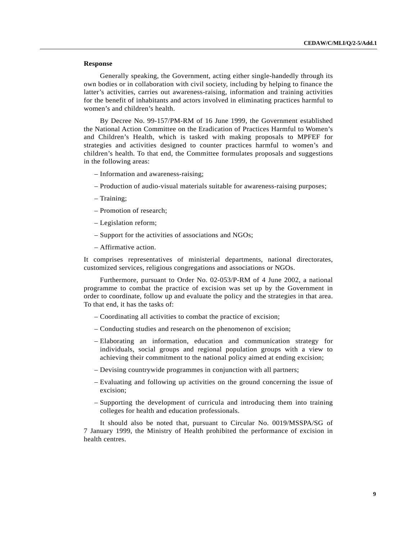Generally speaking, the Government, acting either single-handedly through its own bodies or in collaboration with civil society, including by helping to finance the latter's activities, carries out awareness-raising, information and training activities for the benefit of inhabitants and actors involved in eliminating practices harmful to women's and children's health.

 By Decree No. 99-157/PM-RM of 16 June 1999, the Government established the National Action Committee on the Eradication of Practices Harmful to Women's and Children's Health, which is tasked with making proposals to MPFEF for strategies and activities designed to counter practices harmful to women's and children's health. To that end, the Committee formulates proposals and suggestions in the following areas:

- Information and awareness-raising;
- Production of audio-visual materials suitable for awareness-raising purposes;
- Training;
- Promotion of research;
- Legislation reform;
- Support for the activities of associations and NGOs;
- Affirmative action.

It comprises representatives of ministerial departments, national directorates, customized services, religious congregations and associations or NGOs.

 Furthermore, pursuant to Order No. 02-053/P-RM of 4 June 2002, a national programme to combat the practice of excision was set up by the Government in order to coordinate, follow up and evaluate the policy and the strategies in that area. To that end, it has the tasks of:

- Coordinating all activities to combat the practice of excision;
- Conducting studies and research on the phenomenon of excision;
- Elaborating an information, education and communication strategy for individuals, social groups and regional population groups with a view to achieving their commitment to the national policy aimed at ending excision;
- Devising countrywide programmes in conjunction with all partners;
- Evaluating and following up activities on the ground concerning the issue of excision;
- Supporting the development of curricula and introducing them into training colleges for health and education professionals.

 It should also be noted that, pursuant to Circular No. 0019/MSSPA/SG of 7 January 1999, the Ministry of Health prohibited the performance of excision in health centres.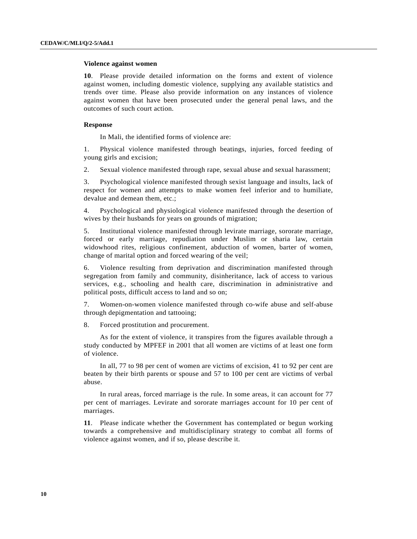# **Violence against women**

**10**. Please provide detailed information on the forms and extent of violence against women, including domestic violence, supplying any available statistics and trends over time. Please also provide information on any instances of violence against women that have been prosecuted under the general penal laws, and the outcomes of such court action.

## **Response**

In Mali, the identified forms of violence are:

1. Physical violence manifested through beatings, injuries, forced feeding of young girls and excision;

2. Sexual violence manifested through rape, sexual abuse and sexual harassment;

3. Psychological violence manifested through sexist language and insults, lack of respect for women and attempts to make women feel inferior and to humiliate, devalue and demean them, etc.;

4. Psychological and physiological violence manifested through the desertion of wives by their husbands for years on grounds of migration;

5. Institutional violence manifested through levirate marriage, sororate marriage, forced or early marriage, repudiation under Muslim or sharia law, certain widowhood rites, religious confinement, abduction of women, barter of women, change of marital option and forced wearing of the veil;

6. Violence resulting from deprivation and discrimination manifested through segregation from family and community, disinheritance, lack of access to various services, e.g., schooling and health care, discrimination in administrative and political posts, difficult access to land and so on;

7. Women-on-women violence manifested through co-wife abuse and self-abuse through depigmentation and tattooing;

8. Forced prostitution and procurement.

 As for the extent of violence, it transpires from the figures available through a study conducted by MPFEF in 2001 that all women are victims of at least one form of violence.

 In all, 77 to 98 per cent of women are victims of excision, 41 to 92 per cent are beaten by their birth parents or spouse and 57 to 100 per cent are victims of verbal abuse.

 In rural areas, forced marriage is the rule. In some areas, it can account for 77 per cent of marriages. Levirate and sororate marriages account for 10 per cent of marriages.

**11**. Please indicate whether the Government has contemplated or begun working towards a comprehensive and multidisciplinary strategy to combat all forms of violence against women, and if so, please describe it.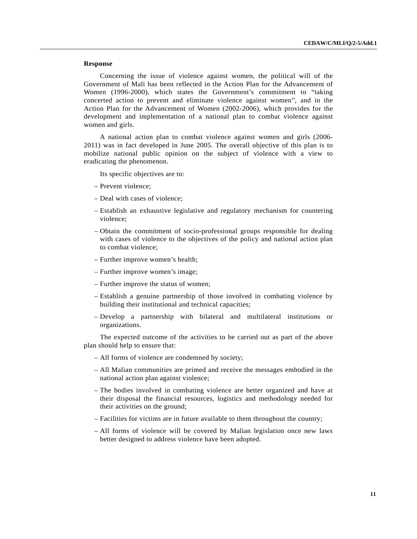Concerning the issue of violence against women, the political will of the Government of Mali has been reflected in the Action Plan for the Advancement of Women (1996-2000), which states the Government's commitment to "taking concerted action to prevent and eliminate violence against women", and in the Action Plan for the Advancement of Women (2002-2006), which provides for the development and implementation of a national plan to combat violence against women and girls.

 A national action plan to combat violence against women and girls (2006- 2011) was in fact developed in June 2005. The overall objective of this plan is to mobilize national public opinion on the subject of violence with a view to eradicating the phenomenon.

Its specific objectives are to:

- Prevent violence;
- Deal with cases of violence;
- Establish an exhaustive legislative and regulatory mechanism for countering violence;
- Obtain the commitment of socio-professional groups responsible for dealing with cases of violence to the objectives of the policy and national action plan to combat violence;
- Further improve women's health;
- Further improve women's image;
- Further improve the status of women;
- Establish a genuine partnership of those involved in combating violence by building their institutional and technical capacities;
- Develop a partnership with bilateral and multilateral institutions or organizations.

 The expected outcome of the activities to be carried out as part of the above plan should help to ensure that:

- All forms of violence are condemned by society;
- All Malian communities are primed and receive the messages embodied in the national action plan against violence;
- The bodies involved in combating violence are better organized and have at their disposal the financial resources, logistics and methodology needed for their activities on the ground;
- Facilities for victims are in future available to them throughout the country;
- All forms of violence will be covered by Malian legislation once new laws better designed to address violence have been adopted.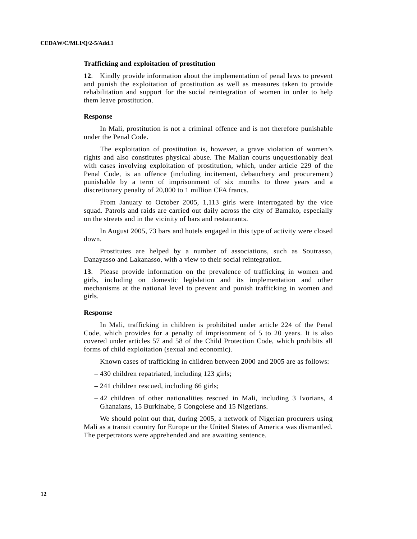# **Trafficking and exploitation of prostitution**

**12**. Kindly provide information about the implementation of penal laws to prevent and punish the exploitation of prostitution as well as measures taken to provide rehabilitation and support for the social reintegration of women in order to help them leave prostitution.

### **Response**

 In Mali, prostitution is not a criminal offence and is not therefore punishable under the Penal Code.

 The exploitation of prostitution is, however, a grave violation of women's rights and also constitutes physical abuse. The Malian courts unquestionably deal with cases involving exploitation of prostitution, which, under article 229 of the Penal Code, is an offence (including incitement, debauchery and procurement) punishable by a term of imprisonment of six months to three years and a discretionary penalty of 20,000 to 1 million CFA francs.

 From January to October 2005, 1,113 girls were interrogated by the vice squad. Patrols and raids are carried out daily across the city of Bamako, especially on the streets and in the vicinity of bars and restaurants.

 In August 2005, 73 bars and hotels engaged in this type of activity were closed down.

 Prostitutes are helped by a number of associations, such as Soutrasso, Danayasso and Lakanasso, with a view to their social reintegration.

**13**. Please provide information on the prevalence of trafficking in women and girls, including on domestic legislation and its implementation and other mechanisms at the national level to prevent and punish trafficking in women and girls.

## **Response**

 In Mali, trafficking in children is prohibited under article 224 of the Penal Code, which provides for a penalty of imprisonment of 5 to 20 years. It is also covered under articles 57 and 58 of the Child Protection Code, which prohibits all forms of child exploitation (sexual and economic).

Known cases of trafficking in children between 2000 and 2005 are as follows:

- 430 children repatriated, including 123 girls;
- 241 children rescued, including 66 girls;
- 42 children of other nationalities rescued in Mali, including 3 Ivorians, 4 Ghanaians, 15 Burkinabe, 5 Congolese and 15 Nigerians.

 We should point out that, during 2005, a network of Nigerian procurers using Mali as a transit country for Europe or the United States of America was dismantled. The perpetrators were apprehended and are awaiting sentence.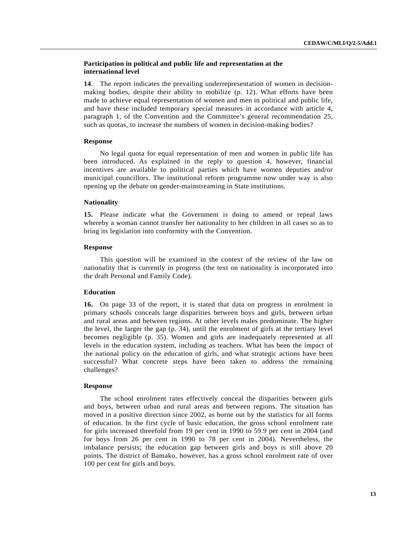# **Participation in political and public life and representation at the international level**

**14**. The report indicates the prevailing underrepresentation of women in decisionmaking bodies, despite their ability to mobilize (p. 12). What efforts have been made to achieve equal representation of women and men in political and public life, and have these included temporary special measures in accordance with article 4, paragraph 1, of the Convention and the Committee's general recommendation 25, such as quotas, to increase the numbers of women in decision-making bodies?

## **Response**

 No legal quota for equal representation of men and women in public life has been introduced. As explained in the reply to question 4, however, financial incentives are available to political parties which have women deputies and/or municipal councillors. The institutional reform programme now under way is also opening up the debate on gender-mainstreaming in State institutions.

## **Nationality**

**15.** Please indicate what the Government is doing to amend or repeal laws whereby a woman cannot transfer her nationality to her children in all cases so as to bring its legislation into conformity with the Convention.

## **Response**

 This question will be examined in the context of the review of the law on nationality that is currently in progress (the text on nationality is incorporated into the draft Personal and Family Code).

## **Education**

**16.** On page 33 of the report, it is stated that data on progress in enrolment in primary schools conceals large disparities between boys and girls, between urban and rural areas and between regions. At other levels males predominate. The higher the level, the larger the gap (p. 34), until the enrolment of girls at the tertiary level becomes negligible (p. 35). Women and girls are inadequately represented at all levels in the education system, including as teachers. What has been the impact of the national policy on the education of girls, and what strategic actions have been successful? What concrete steps have been taken to address the remaining challenges?

## **Response**

 The school enrolment rates effectively conceal the disparities between girls and boys, between urban and rural areas and between regions. The situation has moved in a positive direction since 2002, as borne out by the statistics for all forms of education. In the first cycle of basic education, the gross school enrolment rate for girls increased threefold from 19 per cent in 1990 to 59.9 per cent in 2004 (and for boys from 26 per cent in 1990 to 78 per cent in 2004). Nevertheless, the imbalance persists; the education gap between girls and boys is still above 20 points. The district of Bamako, however, has a gross school enrolment rate of over 100 per cent for girls and boys.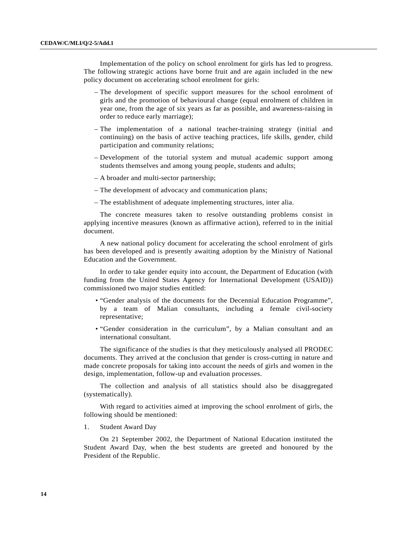Implementation of the policy on school enrolment for girls has led to progress. The following strategic actions have borne fruit and are again included in the new policy document on accelerating school enrolment for girls:

- The development of specific support measures for the school enrolment of girls and the promotion of behavioural change (equal enrolment of children in year one, from the age of six years as far as possible, and awareness-raising in order to reduce early marriage);
- The implementation of a national teacher-training strategy (initial and continuing) on the basis of active teaching practices, life skills, gender, child participation and community relations;
- Development of the tutorial system and mutual academic support among students themselves and among young people, students and adults;
- A broader and multi-sector partnership;
- The development of advocacy and communication plans;
- The establishment of adequate implementing structures, inter alia.

 The concrete measures taken to resolve outstanding problems consist in applying incentive measures (known as affirmative action), referred to in the initial document.

 A new national policy document for accelerating the school enrolment of girls has been developed and is presently awaiting adoption by the Ministry of National Education and the Government.

 In order to take gender equity into account, the Department of Education (with funding from the United States Agency for International Development (USAID)) commissioned two major studies entitled:

- "Gender analysis of the documents for the Decennial Education Programme", by a team of Malian consultants, including a female civil-society representative;
- "Gender consideration in the curriculum", by a Malian consultant and an international consultant.

 The significance of the studies is that they meticulously analysed all PRODEC documents. They arrived at the conclusion that gender is cross-cutting in nature and made concrete proposals for taking into account the needs of girls and women in the design, implementation, follow-up and evaluation processes.

 The collection and analysis of all statistics should also be disaggregated (systematically).

 With regard to activities aimed at improving the school enrolment of girls, the following should be mentioned:

1. Student Award Day

 On 21 September 2002, the Department of National Education instituted the Student Award Day, when the best students are greeted and honoured by the President of the Republic.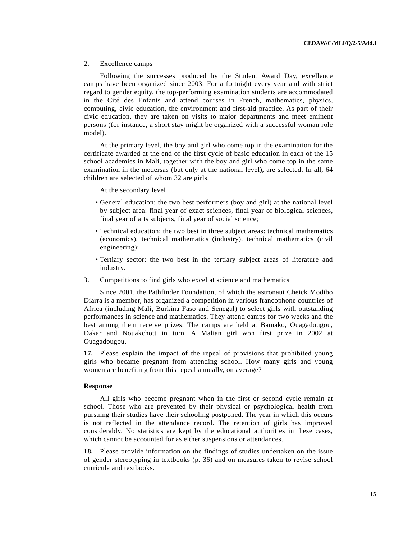# 2. Excellence camps

 Following the successes produced by the Student Award Day, excellence camps have been organized since 2003. For a fortnight every year and with strict regard to gender equity, the top-performing examination students are accommodated in the Cité des Enfants and attend courses in French, mathematics, physics, computing, civic education, the environment and first-aid practice. As part of their civic education, they are taken on visits to major departments and meet eminent persons (for instance, a short stay might be organized with a successful woman role model).

 At the primary level, the boy and girl who come top in the examination for the certificate awarded at the end of the first cycle of basic education in each of the 15 school academies in Mali, together with the boy and girl who come top in the same examination in the medersas (but only at the national level), are selected. In all, 64 children are selected of whom 32 are girls.

At the secondary level

- General education: the two best performers (boy and girl) at the national level by subject area: final year of exact sciences, final year of biological sciences, final year of arts subjects, final year of social science;
- Technical education: the two best in three subject areas: technical mathematics (economics), technical mathematics (industry), technical mathematics (civil engineering);
- Tertiary sector: the two best in the tertiary subject areas of literature and industry.
- 3. Competitions to find girls who excel at science and mathematics

 Since 2001, the Pathfinder Foundation, of which the astronaut Cheick Modibo Diarra is a member, has organized a competition in various francophone countries of Africa (including Mali, Burkina Faso and Senegal) to select girls with outstanding performances in science and mathematics. They attend camps for two weeks and the best among them receive prizes. The camps are held at Bamako, Ouagadougou, Dakar and Nouakchott in turn. A Malian girl won first prize in 2002 at Ouagadougou.

**17.** Please explain the impact of the repeal of provisions that prohibited young girls who became pregnant from attending school. How many girls and young women are benefiting from this repeal annually, on average?

# **Response**

 All girls who become pregnant when in the first or second cycle remain at school. Those who are prevented by their physical or psychological health from pursuing their studies have their schooling postponed. The year in which this occurs is not reflected in the attendance record. The retention of girls has improved considerably. No statistics are kept by the educational authorities in these cases, which cannot be accounted for as either suspensions or attendances.

**18.** Please provide information on the findings of studies undertaken on the issue of gender stereotyping in textbooks (p. 36) and on measures taken to revise school curricula and textbooks.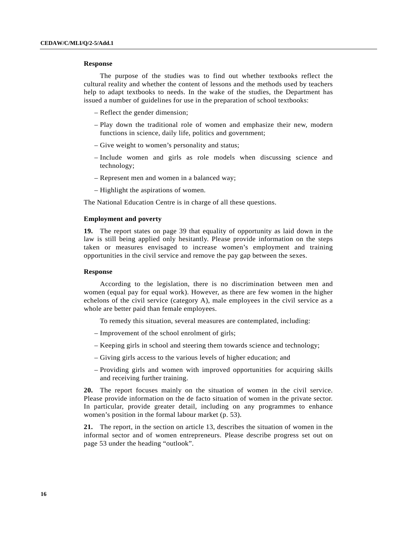The purpose of the studies was to find out whether textbooks reflect the cultural reality and whether the content of lessons and the methods used by teachers help to adapt textbooks to needs. In the wake of the studies, the Department has issued a number of guidelines for use in the preparation of school textbooks:

- Reflect the gender dimension;
- Play down the traditional role of women and emphasize their new, modern functions in science, daily life, politics and government;
- Give weight to women's personality and status;
- Include women and girls as role models when discussing science and technology;
- Represent men and women in a balanced way;
- Highlight the aspirations of women.

The National Education Centre is in charge of all these questions.

## **Employment and poverty**

**19.** The report states on page 39 that equality of opportunity as laid down in the law is still being applied only hesitantly. Please provide information on the steps taken or measures envisaged to increase women's employment and training opportunities in the civil service and remove the pay gap between the sexes.

## **Response**

 According to the legislation, there is no discrimination between men and women (equal pay for equal work). However, as there are few women in the higher echelons of the civil service (category A), male employees in the civil service as a whole are better paid than female employees.

To remedy this situation, several measures are contemplated, including:

- Improvement of the school enrolment of girls;
- Keeping girls in school and steering them towards science and technology;
- Giving girls access to the various levels of higher education; and
- Providing girls and women with improved opportunities for acquiring skills and receiving further training.

**20.** The report focuses mainly on the situation of women in the civil service. Please provide information on the de facto situation of women in the private sector. In particular, provide greater detail, including on any programmes to enhance women's position in the formal labour market (p. 53).

**21.** The report, in the section on article 13, describes the situation of women in the informal sector and of women entrepreneurs. Please describe progress set out on page 53 under the heading "outlook".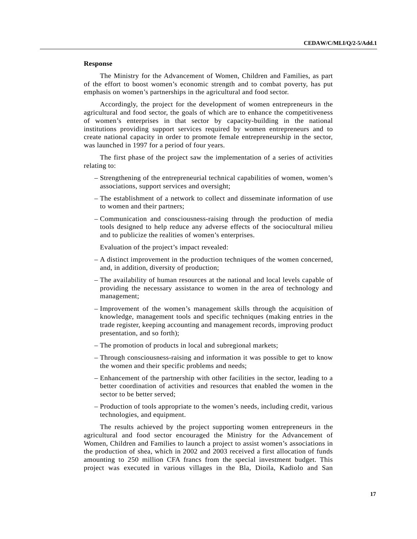The Ministry for the Advancement of Women, Children and Families, as part of the effort to boost women's economic strength and to combat poverty, has put emphasis on women's partnerships in the agricultural and food sector.

 Accordingly, the project for the development of women entrepreneurs in the agricultural and food sector, the goals of which are to enhance the competitiveness of women's enterprises in that sector by capacity-building in the national institutions providing support services required by women entrepreneurs and to create national capacity in order to promote female entrepreneurship in the sector, was launched in 1997 for a period of four years.

 The first phase of the project saw the implementation of a series of activities relating to:

- Strengthening of the entrepreneurial technical capabilities of women, women's associations, support services and oversight;
- The establishment of a network to collect and disseminate information of use to women and their partners;
- Communication and consciousness-raising through the production of media tools designed to help reduce any adverse effects of the sociocultural milieu and to publicize the realities of women's enterprises.

Evaluation of the project's impact revealed:

- A distinct improvement in the production techniques of the women concerned, and, in addition, diversity of production;
- The availability of human resources at the national and local levels capable of providing the necessary assistance to women in the area of technology and management;
- Improvement of the women's management skills through the acquisition of knowledge, management tools and specific techniques (making entries in the trade register, keeping accounting and management records, improving product presentation, and so forth);
- The promotion of products in local and subregional markets;
- Through consciousness-raising and information it was possible to get to know the women and their specific problems and needs;
- Enhancement of the partnership with other facilities in the sector, leading to a better coordination of activities and resources that enabled the women in the sector to be better served;
- Production of tools appropriate to the women's needs, including credit, various technologies, and equipment.

 The results achieved by the project supporting women entrepreneurs in the agricultural and food sector encouraged the Ministry for the Advancement of Women, Children and Families to launch a project to assist women's associations in the production of shea, which in 2002 and 2003 received a first allocation of funds amounting to 250 million CFA francs from the special investment budget. This project was executed in various villages in the Bla, Dioila, Kadiolo and San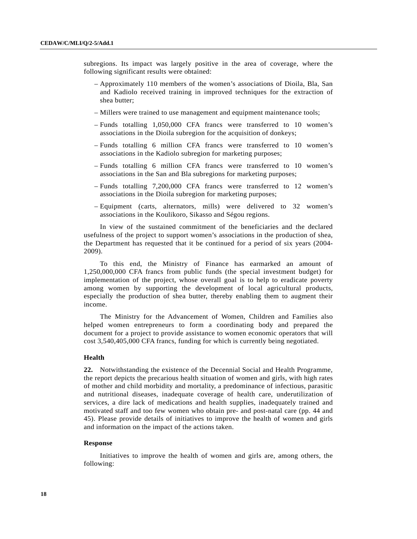subregions. Its impact was largely positive in the area of coverage, where the following significant results were obtained:

- Approximately 110 members of the women's associations of Dioila, Bla, San and Kadiolo received training in improved techniques for the extraction of shea butter;
- Millers were trained to use management and equipment maintenance tools;
- Funds totalling 1,050,000 CFA francs were transferred to 10 women's associations in the Dioila subregion for the acquisition of donkeys;
- Funds totalling 6 million CFA francs were transferred to 10 women's associations in the Kadiolo subregion for marketing purposes;
- Funds totalling 6 million CFA francs were transferred to 10 women's associations in the San and Bla subregions for marketing purposes;
- Funds totalling 7,200,000 CFA francs were transferred to 12 women's associations in the Dioila subregion for marketing purposes;
- Equipment (carts, alternators, mills) were delivered to 32 women's associations in the Koulikoro, Sikasso and Ségou regions.

 In view of the sustained commitment of the beneficiaries and the declared usefulness of the project to support women's associations in the production of shea, the Department has requested that it be continued for a period of six years (2004- 2009).

 To this end, the Ministry of Finance has earmarked an amount of 1,250,000,000 CFA francs from public funds (the special investment budget) for implementation of the project, whose overall goal is to help to eradicate poverty among women by supporting the development of local agricultural products, especially the production of shea butter, thereby enabling them to augment their income.

 The Ministry for the Advancement of Women, Children and Families also helped women entrepreneurs to form a coordinating body and prepared the document for a project to provide assistance to women economic operators that will cost 3,540,405,000 CFA francs, funding for which is currently being negotiated.

## **Health**

**22.** Notwithstanding the existence of the Decennial Social and Health Programme, the report depicts the precarious health situation of women and girls, with high rates of mother and child morbidity and mortality, a predominance of infectious, parasitic and nutritional diseases, inadequate coverage of health care, underutilization of services, a dire lack of medications and health supplies, inadequately trained and motivated staff and too few women who obtain pre- and post-natal care (pp. 44 and 45). Please provide details of initiatives to improve the health of women and girls and information on the impact of the actions taken.

#### **Response**

 Initiatives to improve the health of women and girls are, among others, the following: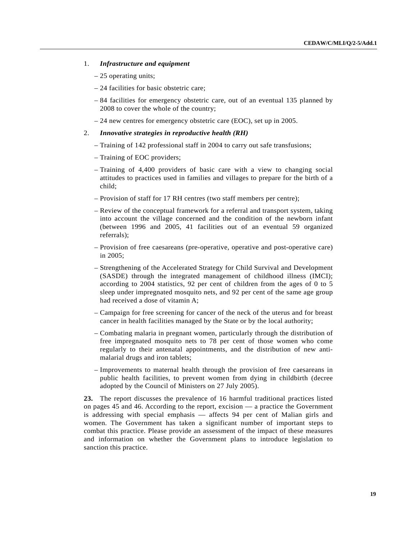## 1. *Infrastructure and equipment*

- 25 operating units;
- 24 facilities for basic obstetric care;
- 84 facilities for emergency obstetric care, out of an eventual 135 planned by 2008 to cover the whole of the country;
- 24 new centres for emergency obstetric care (EOC), set up in 2005.
- 2. *Innovative strategies in reproductive health (RH)*
	- Training of 142 professional staff in 2004 to carry out safe transfusions;
	- Training of EOC providers;
	- Training of 4,400 providers of basic care with a view to changing social attitudes to practices used in families and villages to prepare for the birth of a child;
	- Provision of staff for 17 RH centres (two staff members per centre);
	- Review of the conceptual framework for a referral and transport system, taking into account the village concerned and the condition of the newborn infant (between 1996 and 2005, 41 facilities out of an eventual 59 organized referrals);
	- Provision of free caesareans (pre-operative, operative and post-operative care) in 2005;
	- Strengthening of the Accelerated Strategy for Child Survival and Development (SASDE) through the integrated management of childhood illness (IMCI); according to 2004 statistics, 92 per cent of children from the ages of 0 to 5 sleep under impregnated mosquito nets, and 92 per cent of the same age group had received a dose of vitamin A;
	- Campaign for free screening for cancer of the neck of the uterus and for breast cancer in health facilities managed by the State or by the local authority;
	- Combating malaria in pregnant women, particularly through the distribution of free impregnated mosquito nets to 78 per cent of those women who come regularly to their antenatal appointments, and the distribution of new antimalarial drugs and iron tablets;
	- Improvements to maternal health through the provision of free caesareans in public health facilities, to prevent women from dying in childbirth (decree adopted by the Council of Ministers on 27 July 2005).

**23.** The report discusses the prevalence of 16 harmful traditional practices listed on pages 45 and 46. According to the report, excision — a practice the Government is addressing with special emphasis — affects 94 per cent of Malian girls and women. The Government has taken a significant number of important steps to combat this practice. Please provide an assessment of the impact of these measures and information on whether the Government plans to introduce legislation to sanction this practice.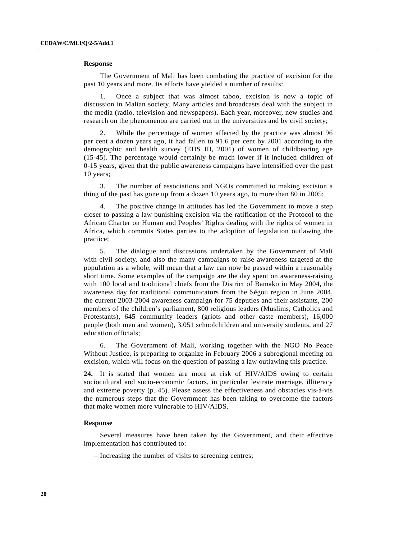The Government of Mali has been combating the practice of excision for the past 10 years and more. Its efforts have yielded a number of results:

 1. Once a subject that was almost taboo, excision is now a topic of discussion in Malian society. Many articles and broadcasts deal with the subject in the media (radio, television and newspapers). Each year, moreover, new studies and research on the phenomenon are carried out in the universities and by civil society;

 2. While the percentage of women affected by the practice was almost 96 per cent a dozen years ago, it had fallen to 91.6 per cent by 2001 according to the demographic and health survey (EDS III, 2001) of women of childbearing age (15-45). The percentage would certainly be much lower if it included children of 0-15 years, given that the public awareness campaigns have intensified over the past 10 years;

 3. The number of associations and NGOs committed to making excision a thing of the past has gone up from a dozen 10 years ago, to more than 80 in 2005;

 4. The positive change in attitudes has led the Government to move a step closer to passing a law punishing excision via the ratification of the Protocol to the African Charter on Human and Peoples' Rights dealing with the rights of women in Africa, which commits States parties to the adoption of legislation outlawing the practice;

 5. The dialogue and discussions undertaken by the Government of Mali with civil society, and also the many campaigns to raise awareness targeted at the population as a whole, will mean that a law can now be passed within a reasonably short time. Some examples of the campaign are the day spent on awareness-raising with 100 local and traditional chiefs from the District of Bamako in May 2004, the awareness day for traditional communicators from the Ségou region in June 2004, the current 2003-2004 awareness campaign for 75 deputies and their assistants, 200 members of the children's parliament, 800 religious leaders (Muslims, Catholics and Protestants), 645 community leaders (griots and other caste members), 16,000 people (both men and women), 3,051 schoolchildren and university students, and 27 education officials;

 6. The Government of Mali, working together with the NGO No Peace Without Justice, is preparing to organize in February 2006 a subregional meeting on excision, which will focus on the question of passing a law outlawing this practice.

**24.** It is stated that women are more at risk of HIV/AIDS owing to certain sociocultural and socio-economic factors, in particular levirate marriage, illiteracy and extreme poverty (p. 45). Please assess the effectiveness and obstacles vis-à-vis the numerous steps that the Government has been taking to overcome the factors that make women more vulnerable to HIV/AIDS.

# **Response**

 Several measures have been taken by the Government, and their effective implementation has contributed to:

– Increasing the number of visits to screening centres;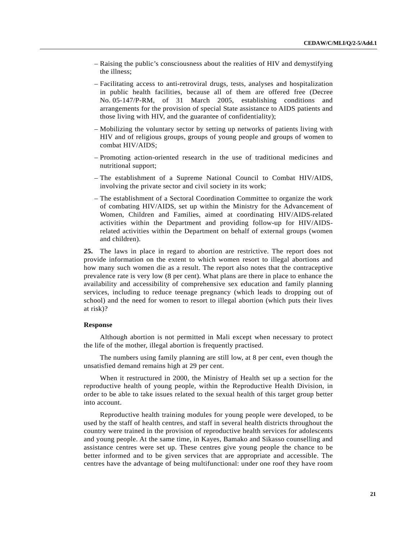- Raising the public's consciousness about the realities of HIV and demystifying the illness;
- Facilitating access to anti-retroviral drugs, tests, analyses and hospitalization in public health facilities, because all of them are offered free (Decree No. 05-147/P-RM, of 31 March 2005, establishing conditions and arrangements for the provision of special State assistance to AIDS patients and those living with HIV, and the guarantee of confidentiality);
- Mobilizing the voluntary sector by setting up networks of patients living with HIV and of religious groups, groups of young people and groups of women to combat HIV/AIDS;
- Promoting action-oriented research in the use of traditional medicines and nutritional support;
- The establishment of a Supreme National Council to Combat HIV/AIDS, involving the private sector and civil society in its work;
- The establishment of a Sectoral Coordination Committee to organize the work of combating HIV/AIDS, set up within the Ministry for the Advancement of Women, Children and Families, aimed at coordinating HIV/AIDS-related activities within the Department and providing follow-up for HIV/AIDSrelated activities within the Department on behalf of external groups (women and children).

**25.** The laws in place in regard to abortion are restrictive. The report does not provide information on the extent to which women resort to illegal abortions and how many such women die as a result. The report also notes that the contraceptive prevalence rate is very low (8 per cent). What plans are there in place to enhance the availability and accessibility of comprehensive sex education and family planning services, including to reduce teenage pregnancy (which leads to dropping out of school) and the need for women to resort to illegal abortion (which puts their lives at risk)?

## **Response**

 Although abortion is not permitted in Mali except when necessary to protect the life of the mother, illegal abortion is frequently practised.

 The numbers using family planning are still low, at 8 per cent, even though the unsatisfied demand remains high at 29 per cent.

 When it restructured in 2000, the Ministry of Health set up a section for the reproductive health of young people, within the Reproductive Health Division, in order to be able to take issues related to the sexual health of this target group better into account.

 Reproductive health training modules for young people were developed, to be used by the staff of health centres, and staff in several health districts throughout the country were trained in the provision of reproductive health services for adolescents and young people. At the same time, in Kayes, Bamako and Sikasso counselling and assistance centres were set up. These centres give young people the chance to be better informed and to be given services that are appropriate and accessible. The centres have the advantage of being multifunctional: under one roof they have room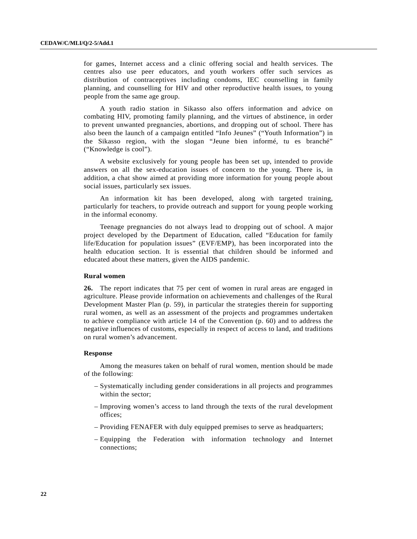for games, Internet access and a clinic offering social and health services. The centres also use peer educators, and youth workers offer such services as distribution of contraceptives including condoms, IEC counselling in family planning, and counselling for HIV and other reproductive health issues, to young people from the same age group.

 A youth radio station in Sikasso also offers information and advice on combating HIV, promoting family planning, and the virtues of abstinence, in order to prevent unwanted pregnancies, abortions, and dropping out of school. There has also been the launch of a campaign entitled "Info Jeunes" ("Youth Information") in the Sikasso region, with the slogan "Jeune bien informé, tu es branché" ("Knowledge is cool").

 A website exclusively for young people has been set up, intended to provide answers on all the sex-education issues of concern to the young. There is, in addition, a chat show aimed at providing more information for young people about social issues, particularly sex issues.

 An information kit has been developed, along with targeted training, particularly for teachers, to provide outreach and support for young people working in the informal economy.

 Teenage pregnancies do not always lead to dropping out of school. A major project developed by the Department of Education, called "Education for family life/Education for population issues" (EVF/EMP), has been incorporated into the health education section. It is essential that children should be informed and educated about these matters, given the AIDS pandemic.

## **Rural women**

**26.** The report indicates that 75 per cent of women in rural areas are engaged in agriculture. Please provide information on achievements and challenges of the Rural Development Master Plan (p. 59), in particular the strategies therein for supporting rural women, as well as an assessment of the projects and programmes undertaken to achieve compliance with article 14 of the Convention (p. 60) and to address the negative influences of customs, especially in respect of access to land, and traditions on rural women's advancement.

#### **Response**

 Among the measures taken on behalf of rural women, mention should be made of the following:

- Systematically including gender considerations in all projects and programmes within the sector;
- Improving women's access to land through the texts of the rural development offices;
- Providing FENAFER with duly equipped premises to serve as headquarters;
- Equipping the Federation with information technology and Internet connections;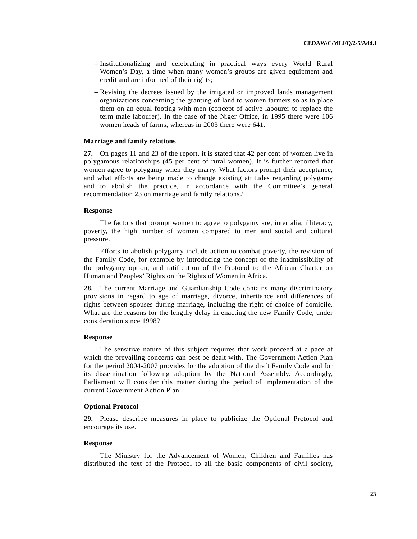- Institutionalizing and celebrating in practical ways every World Rural Women's Day, a time when many women's groups are given equipment and credit and are informed of their rights;
- Revising the decrees issued by the irrigated or improved lands management organizations concerning the granting of land to women farmers so as to place them on an equal footing with men (concept of active labourer to replace the term male labourer). In the case of the Niger Office, in 1995 there were 106 women heads of farms, whereas in 2003 there were 641.

## **Marriage and family relations**

**27.** On pages 11 and 23 of the report, it is stated that 42 per cent of women live in polygamous relationships (45 per cent of rural women). It is further reported that women agree to polygamy when they marry. What factors prompt their acceptance, and what efforts are being made to change existing attitudes regarding polygamy and to abolish the practice, in accordance with the Committee's general recommendation 23 on marriage and family relations?

## **Response**

 The factors that prompt women to agree to polygamy are, inter alia, illiteracy, poverty, the high number of women compared to men and social and cultural pressure.

 Efforts to abolish polygamy include action to combat poverty, the revision of the Family Code, for example by introducing the concept of the inadmissibility of the polygamy option, and ratification of the Protocol to the African Charter on Human and Peoples' Rights on the Rights of Women in Africa.

**28.** The current Marriage and Guardianship Code contains many discriminatory provisions in regard to age of marriage, divorce, inheritance and differences of rights between spouses during marriage, including the right of choice of domicile. What are the reasons for the lengthy delay in enacting the new Family Code, under consideration since 1998?

## **Response**

 The sensitive nature of this subject requires that work proceed at a pace at which the prevailing concerns can best be dealt with. The Government Action Plan for the period 2004-2007 provides for the adoption of the draft Family Code and for its dissemination following adoption by the National Assembly. Accordingly, Parliament will consider this matter during the period of implementation of the current Government Action Plan.

## **Optional Protocol**

**29.** Please describe measures in place to publicize the Optional Protocol and encourage its use.

## **Response**

 The Ministry for the Advancement of Women, Children and Families has distributed the text of the Protocol to all the basic components of civil society,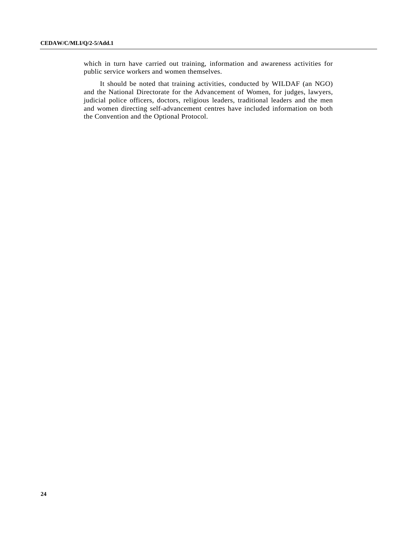which in turn have carried out training, information and awareness activities for public service workers and women themselves.

 It should be noted that training activities, conducted by WILDAF (an NGO) and the National Directorate for the Advancement of Women, for judges, lawyers, judicial police officers, doctors, religious leaders, traditional leaders and the men and women directing self-advancement centres have included information on both the Convention and the Optional Protocol.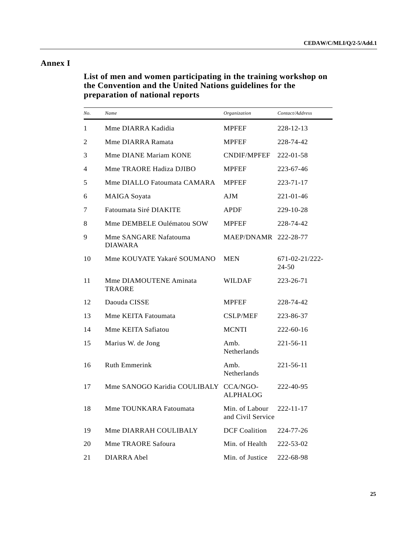# **Annex I**

 **List of men and women participating in the training workshop on the Convention and the United Nations guidelines for the preparation of national reports** 

| No. | Name                                    | Organization                        | Contact/Address         |
|-----|-----------------------------------------|-------------------------------------|-------------------------|
| 1   | Mme DIARRA Kadidia                      | <b>MPFEF</b>                        | 228-12-13               |
| 2   | Mme DIARRA Ramata                       | <b>MPFEF</b>                        | 228-74-42               |
| 3   | Mme DIANE Mariam KONE                   | CNDIF/MPFEF                         | 222-01-58               |
| 4   | Mme TRAORE Hadiza DJIBO                 | <b>MPFEF</b>                        | 223-67-46               |
| 5   | Mme DIALLO Fatoumata CAMARA             | <b>MPFEF</b>                        | 223-71-17               |
| 6   | <b>MAIGA</b> Soyata                     | AJM                                 | 221-01-46               |
| 7   | Fatoumata Siré DIAKITE                  | <b>APDF</b>                         | 229-10-28               |
| 8   | Mme DEMBELE Oulématou SOW               | <b>MPFEF</b>                        | 228-74-42               |
| 9   | Mme SANGARE Nafatouma<br><b>DIAWARA</b> | MAEP/DNAMR 222-28-77                |                         |
| 10  | Mme KOUYATE Yakaré SOUMANO              | <b>MEN</b>                          | 671-02-21/222-<br>24-50 |
| 11  | Mme DIAMOUTENE Aminata<br><b>TRAORE</b> | WILDAF                              | 223-26-71               |
| 12  | Daouda CISSE                            | <b>MPFEF</b>                        | 228-74-42               |
| 13  | Mme KEITA Fatoumata                     | <b>CSLP/MEF</b>                     | 223-86-37               |
| 14  | Mme KEITA Safiatou                      | <b>MCNTI</b>                        | 222-60-16               |
| 15  | Marius W. de Jong                       | Amb.<br>Netherlands                 | 221-56-11               |
| 16  | <b>Ruth Emmerink</b>                    | Amb.<br>Netherlands                 | 221-56-11               |
| 17  | Mme SANOGO Karidia COULIBALY CCA/NGO-   | <b>ALPHALOG</b>                     | 222-40-95               |
| 18  | Mme TOUNKARA Fatoumata                  | Min. of Labour<br>and Civil Service | $222 - 11 - 17$         |
| 19  | Mme DIARRAH COULIBALY                   | <b>DCF</b> Coalition                | 224-77-26               |
| 20  | Mme TRAORE Safoura                      | Min. of Health                      | 222-53-02               |
| 21  | DIARRA Abel                             | Min. of Justice                     | 222-68-98               |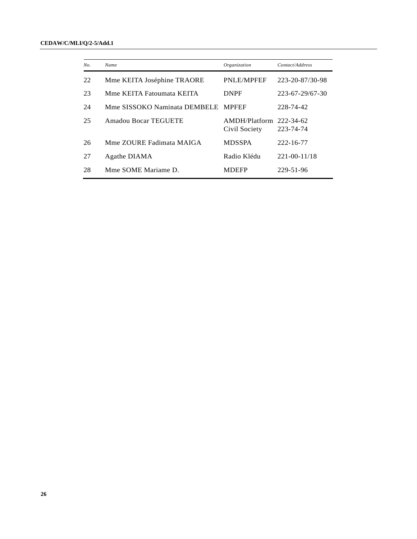| No. | Name                         | Organization                   | Contact/Address        |
|-----|------------------------------|--------------------------------|------------------------|
| 22  | Mme KEITA Joséphine TRAORE   | PNLE/MPFEF                     | 223-20-87/30-98        |
| 23  | Mme KEITA Fatoumata KEITA    | <b>DNPF</b>                    | 223-67-29/67-30        |
| 24  | Mme SISSOKO Naminata DEMBELE | <b>MPFEF</b>                   | 228-74-42              |
| 25  | Amadou Bocar TEGUETE         | AMDH/Platform<br>Civil Society | 222-34-62<br>223-74-74 |
| 26  | Mme ZOURE Fadimata MAIGA     | <b>MDSSPA</b>                  | 222-16-77              |
| 27  | Agathe DIAMA                 | Radio Klédu                    | $221 - 00 - 11/18$     |
| 28  | Mme SOME Mariame D.          | <b>MDEFP</b>                   | 229-51-96              |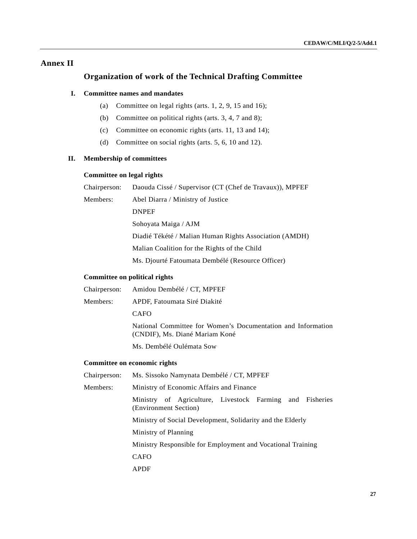# **Annex II**

# **Organization of work of the Technical Drafting Committee**

# **I. Committee names and mandates**

- (a) Committee on legal rights (arts.  $1, 2, 9, 15$  and  $16$ );
- (b) Committee on political rights (arts. 3, 4, 7 and 8);
- (c) Committee on economic rights (arts. 11, 13 and 14);
- (d) Committee on social rights (arts. 5, 6, 10 and 12).

# **II. Membership of committees**

# **Committee on legal rights**

| Chairperson: | Daouda Cissé / Supervisor (CT (Chef de Travaux)), MPFEF |
|--------------|---------------------------------------------------------|
| Members:     | Abel Diarra / Ministry of Justice                       |
|              | <b>DNPEF</b>                                            |
|              | Sohoyata Maiga / AJM                                    |
|              | Diadié Tékété / Malian Human Rights Association (AMDH)  |
|              | Malian Coalition for the Rights of the Child            |
|              | Ms. Diourté Fatoumata Dembélé (Resource Officer)        |
|              |                                                         |

# **Committee on political rights**

|          | Chairperson: Amidou Dembélé / CT, MPFEF                                                        |
|----------|------------------------------------------------------------------------------------------------|
| Members: | APDF, Fatoumata Siré Diakité                                                                   |
|          | <b>CAFO</b>                                                                                    |
|          | National Committee for Women's Documentation and Information<br>(CNDIF), Ms. Diané Mariam Koné |
|          | Ms. Dembélé Qulémata Sow                                                                       |
|          |                                                                                                |

# **Committee on economic rights**

| Chairperson: | Ms. Sissoko Namynata Dembélé / CT, MPFEF                                          |  |  |  |  |
|--------------|-----------------------------------------------------------------------------------|--|--|--|--|
| Members:     | Ministry of Economic Affairs and Finance                                          |  |  |  |  |
|              | Ministry of Agriculture, Livestock Farming and Fisheries<br>(Environment Section) |  |  |  |  |
|              | Ministry of Social Development, Solidarity and the Elderly                        |  |  |  |  |
|              | Ministry of Planning                                                              |  |  |  |  |
|              | Ministry Responsible for Employment and Vocational Training                       |  |  |  |  |
|              | <b>CAFO</b>                                                                       |  |  |  |  |
|              | <b>APDF</b>                                                                       |  |  |  |  |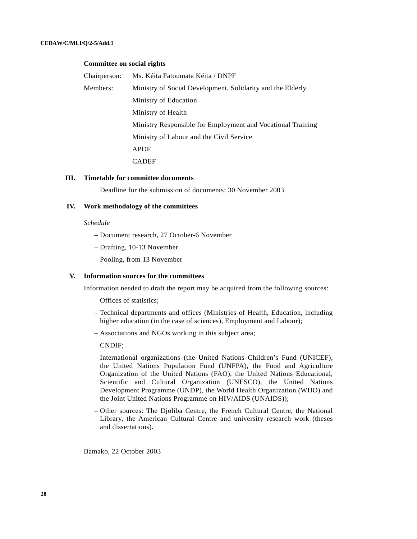# **Committee on social rights**

| Chairperson: | Ms. Kéita Fatoumata Kéita / DNPF                            |
|--------------|-------------------------------------------------------------|
| Members:     | Ministry of Social Development, Solidarity and the Elderly  |
|              | Ministry of Education                                       |
|              | Ministry of Health                                          |
|              | Ministry Responsible for Employment and Vocational Training |
|              | Ministry of Labour and the Civil Service                    |
|              | <b>APDF</b>                                                 |
|              | <b>CADEF</b>                                                |

## **III. Timetable for committee documents**

Deadline for the submission of documents: 30 November 2003

## **IV. Work methodology of the committees**

## *Schedule*

- Document research, 27 October-6 November
- Drafting, 10-13 November
- Pooling, from 13 November

#### **V. Information sources for the committees**

Information needed to draft the report may be acquired from the following sources:

- Offices of statistics;
- Technical departments and offices (Ministries of Health, Education, including higher education (in the case of sciences), Employment and Labour);
- Associations and NGOs working in this subject area;
- CNDIF;
- International organizations (the United Nations Children's Fund (UNICEF), the United Nations Population Fund (UNFPA), the Food and Agriculture Organization of the United Nations (FAO), the United Nations Educational, Scientific and Cultural Organization (UNESCO), the United Nations Development Programme (UNDP), the World Health Organization (WHO) and the Joint United Nations Programme on HIV/AIDS (UNAIDS));
- Other sources: The Djoliba Centre, the French Cultural Centre, the National Library, the American Cultural Centre and university research work (theses and dissertations).

Bamako, 22 October 2003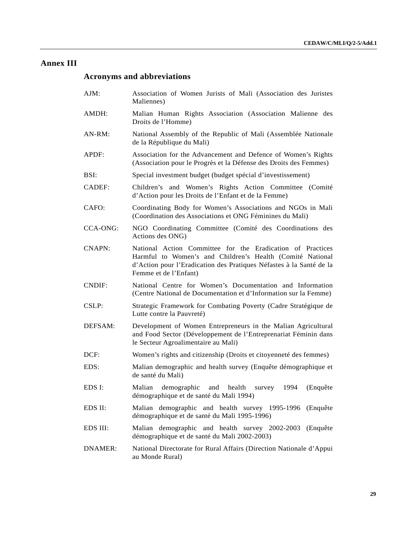# **Annex III**

# **Acronyms and abbreviations**

- AJM: Association of Women Jurists of Mali (Association des Juristes Maliennes)
- AMDH: Malian Human Rights Association (Association Malienne des Droits de l'Homme)
- AN-RM: National Assembly of the Republic of Mali (Assemblée Nationale de la République du Mali)
- APDF: Association for the Advancement and Defence of Women's Rights (Association pour le Progrès et la Défense des Droits des Femmes)
- BSI: Special investment budget (budget spécial d'investissement)
- CADEF: Children's and Women's Rights Action Committee (Comité d'Action pour les Droits de l'Enfant et de la Femme)
- CAFO: Coordinating Body for Women's Associations and NGOs in Mali (Coordination des Associations et ONG Féminines du Mali)
- CCA-ONG: NGO Coordinating Committee (Comité des Coordinations des Actions des ONG)
- CNAPN: National Action Committee for the Eradication of Practices Harmful to Women's and Children's Health (Comité National d'Action pour l'Eradication des Pratiques Néfastes à la Santé de la Femme et de l'Enfant)
- CNDIF: National Centre for Women's Documentation and Information (Centre National de Documentation et d'Information sur la Femme)
- CSLP: Strategic Framework for Combating Poverty (Cadre Stratégique de Lutte contre la Pauvreté)
- DEFSAM: Development of Women Entrepreneurs in the Malian Agricultural and Food Sector (Développement de l'Entreprenariat Féminin dans le Secteur Agroalimentaire au Mali)
- DCF: Women's rights and citizenship (Droits et citoyenneté des femmes)
- EDS: Malian demographic and health survey (Enquête démographique et de santé du Mali)
- EDS I: Malian demographic and health survey 1994 (Enquête démographique et de santé du Mali 1994)
- EDS II: Malian demographic and health survey 1995-1996 (Enquête démographique et de santé du Mali 1995-1996)
- EDS III: Malian demographic and health survey 2002-2003 (Enquête démographique et de santé du Mali 2002-2003)
- DNAMER: National Directorate for Rural Affairs (Direction Nationale d'Appui au Monde Rural)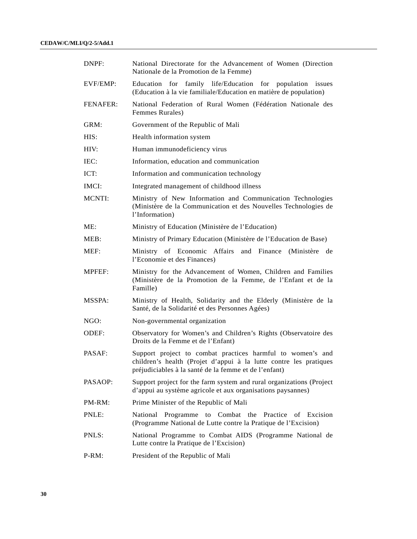| DNPF:           | National Directorate for the Advancement of Women (Direction<br>Nationale de la Promotion de la Femme)                                                                                   |
|-----------------|------------------------------------------------------------------------------------------------------------------------------------------------------------------------------------------|
| EVF/EMP:        | Education for family life/Education for population issues<br>(Education à la vie familiale/Education en matière de population)                                                           |
| <b>FENAFER:</b> | National Federation of Rural Women (Fédération Nationale des<br>Femmes Rurales)                                                                                                          |
| GRM:            | Government of the Republic of Mali                                                                                                                                                       |
| HIS:            | Health information system                                                                                                                                                                |
| HIV:            | Human immunodeficiency virus                                                                                                                                                             |
| IEC:            | Information, education and communication                                                                                                                                                 |
| ICT:            | Information and communication technology                                                                                                                                                 |
| IMCI:           | Integrated management of childhood illness                                                                                                                                               |
| <b>MCNTI:</b>   | Ministry of New Information and Communication Technologies<br>(Ministère de la Communication et des Nouvelles Technologies de<br>l'Information)                                          |
| ME:             | Ministry of Education (Ministère de l'Education)                                                                                                                                         |
| MEB:            | Ministry of Primary Education (Ministère de l'Education de Base)                                                                                                                         |
| MEF:            | Ministry of Economic Affairs and Finance<br>(Ministère<br>de<br>l'Economie et des Finances)                                                                                              |
| <b>MPFEF:</b>   | Ministry for the Advancement of Women, Children and Families<br>(Ministère de la Promotion de la Femme, de l'Enfant et de la<br>Famille)                                                 |
| MSSPA:          | Ministry of Health, Solidarity and the Elderly (Ministère de la<br>Santé, de la Solidarité et des Personnes Agées)                                                                       |
| NGO:            | Non-governmental organization                                                                                                                                                            |
| ODEF:           | Observatory for Women's and Children's Rights (Observatoire des<br>Droits de la Femme et de l'Enfant)                                                                                    |
| PASAF:          | Support project to combat practices harmful to women's and<br>children's health (Projet d'appui à la lutte contre les pratiques<br>préjudiciables à la santé de la femme et de l'enfant) |
| PASAOP:         | Support project for the farm system and rural organizations (Project<br>d'appui au système agricole et aux organisations paysannes)                                                      |
| PM-RM:          | Prime Minister of the Republic of Mali                                                                                                                                                   |
| PNLE:           | Programme to Combat the<br>National<br>Practice<br>of Excision<br>(Programme National de Lutte contre la Pratique de l'Excision)                                                         |
| PNLS:           | National Programme to Combat AIDS (Programme National de<br>Lutte contre la Pratique de l'Excision)                                                                                      |
| $P-RM$ :        | President of the Republic of Mali                                                                                                                                                        |